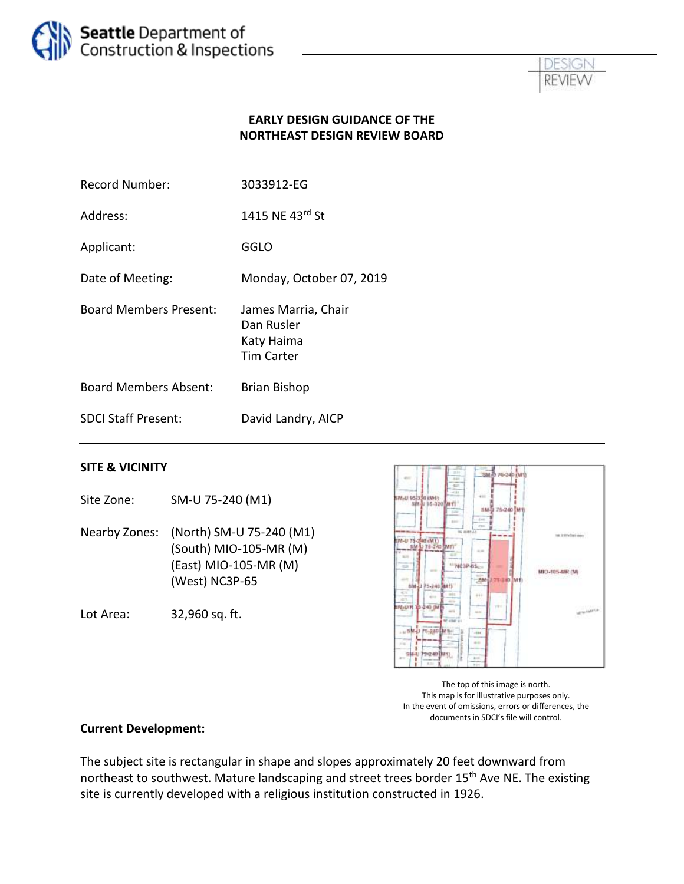



### **EARLY DESIGN GUIDANCE OF THE NORTHEAST DESIGN REVIEW BOARD**

| Record Number:                | 3033912-EG                                                           |
|-------------------------------|----------------------------------------------------------------------|
| Address:                      | 1415 NE 43rd St                                                      |
| Applicant:                    | GGLO                                                                 |
| Date of Meeting:              | Monday, October 07, 2019                                             |
| <b>Board Members Present:</b> | James Marria, Chair<br>Dan Rusler<br>Katy Haima<br><b>Tim Carter</b> |
| Board Members Absent:         | <b>Brian Bishop</b>                                                  |
| <b>SDCL Staff Present:</b>    | David Landry, AICP                                                   |

#### **SITE & VICINITY**

Nearby Zones: (North) SM-U 75-240 (M1) (South) MIO-105-MR (M) (East) MIO-105-MR (M) (West) NC3P-65

Site Zone: SM-U 75-240 (M1)

Lot Area: 32,960 sq. ft.



The top of this image is north. This map is for illustrative purposes only. In the event of omissions, errors or differences, the documents in SDCI's file will control.

#### **Current Development:**

The subject site is rectangular in shape and slopes approximately 20 feet downward from northeast to southwest. Mature landscaping and street trees border 15<sup>th</sup> Ave NE. The existing site is currently developed with a religious institution constructed in 1926.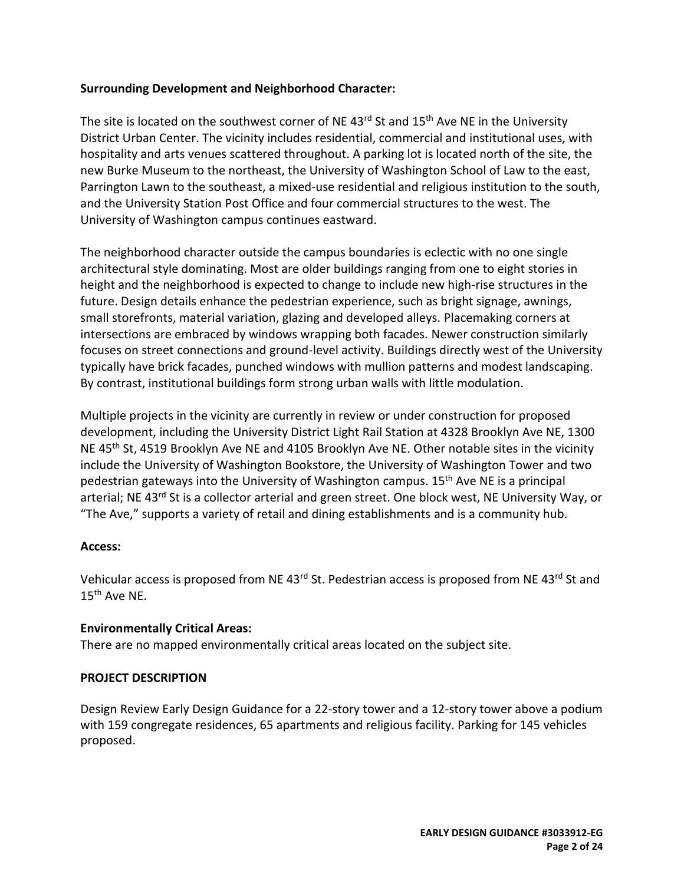### **Surrounding Development and Neighborhood Character:**

The site is located on the southwest corner of NE 43<sup>rd</sup> St and 15<sup>th</sup> Ave NE in the Universitv District Urban Center. The vicinity includes residential, commercial and institutional uses, with hospitality and arts venues scattered throughout. A parking lot is located north of the site, the new Burke Museum to the northeast, the University of Washington School of Law to the east, Parrington Lawn to the southeast, a mixed-use residential and religious institution to the south, and the University Station Post Office and four commercial structures to the west. The University of Washington campus continues eastward.

The neighborhood character outside the campus boundaries is eclectic with no one single architectural style dominating. Most are older buildings ranging from one to eight stories in height and the neighborhood is expected to change to include new high-rise structures in the future. Design details enhance the pedestrian experience, such as bright signage, awnings, small storefronts, material variation, glazing and developed alleys. Placemaking corners at intersections are embraced by windows wrapping both facades. Newer construction similarly focuses on street connections and ground-level activity. Buildings directly west of the University typically have brick facades, punched windows with mullion patterns and modest landscaping. By contrast, institutional buildings form strong urban walls with little modulation.

Multiple projects in the vicinity are currently in review or under construction for proposed development, including the University District Light Rail Station at 4328 Brooklyn Ave NE, 1300 NE 45<sup>th</sup> St, 4519 Brooklyn Ave NE and 4105 Brooklyn Ave NE. Other notable sites in the vicinity include the University of Washington Bookstore, the University of Washington Tower and two pedestrian gateways into the University of Washington campus. 15<sup>th</sup> Ave NE is a principal arterial; NE 43<sup>rd</sup> St is a collector arterial and green street. One block west, NE University Way, or "The Ave," supports a variety of retail and dining establishments and is a community hub.

### **Access:**

Vehicular access is proposed from NE 43<sup>rd</sup> St. Pedestrian access is proposed from NE 43<sup>rd</sup> St and 15th Ave NE.

### **Environmentally Critical Areas:**

There are no mapped environmentally critical areas located on the subject site.

## **PROJECT DESCRIPTION**

Design Review Early Design Guidance for a 22-story tower and a 12-story tower above a podium with 159 congregate residences, 65 apartments and religious facility. Parking for 145 vehicles proposed.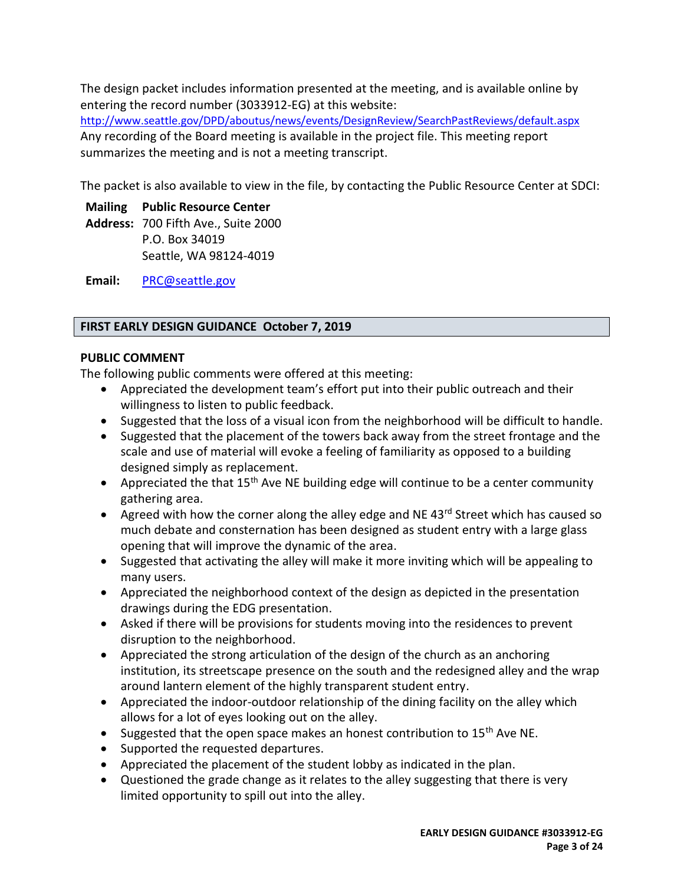The design packet includes information presented at the meeting, and is available online by entering the record number (3033912-EG) at this website:

<http://www.seattle.gov/DPD/aboutus/news/events/DesignReview/SearchPastReviews/default.aspx> Any recording of the Board meeting is available in the project file. This meeting report summarizes the meeting and is not a meeting transcript.

The packet is also available to view in the file, by contacting the Public Resource Center at SDCI:

**Mailing Public Resource Center**

**Address:** 700 Fifth Ave., Suite 2000 P.O. Box 34019 Seattle, WA 98124-4019

**Email:** [PRC@seattle.gov](mailto:PRC@seattle.gov)

### **FIRST EARLY DESIGN GUIDANCE October 7, 2019**

### **PUBLIC COMMENT**

The following public comments were offered at this meeting:

- Appreciated the development team's effort put into their public outreach and their willingness to listen to public feedback.
- Suggested that the loss of a visual icon from the neighborhood will be difficult to handle.
- Suggested that the placement of the towers back away from the street frontage and the scale and use of material will evoke a feeling of familiarity as opposed to a building designed simply as replacement.
- Appreciated the that  $15<sup>th</sup>$  Ave NE building edge will continue to be a center community gathering area.
- Agreed with how the corner along the alley edge and NE 43<sup>rd</sup> Street which has caused so much debate and consternation has been designed as student entry with a large glass opening that will improve the dynamic of the area.
- Suggested that activating the alley will make it more inviting which will be appealing to many users.
- Appreciated the neighborhood context of the design as depicted in the presentation drawings during the EDG presentation.
- Asked if there will be provisions for students moving into the residences to prevent disruption to the neighborhood.
- Appreciated the strong articulation of the design of the church as an anchoring institution, its streetscape presence on the south and the redesigned alley and the wrap around lantern element of the highly transparent student entry.
- Appreciated the indoor-outdoor relationship of the dining facility on the alley which allows for a lot of eyes looking out on the alley.
- Suggested that the open space makes an honest contribution to 15<sup>th</sup> Ave NE.
- Supported the requested departures.
- Appreciated the placement of the student lobby as indicated in the plan.
- Questioned the grade change as it relates to the alley suggesting that there is very limited opportunity to spill out into the alley.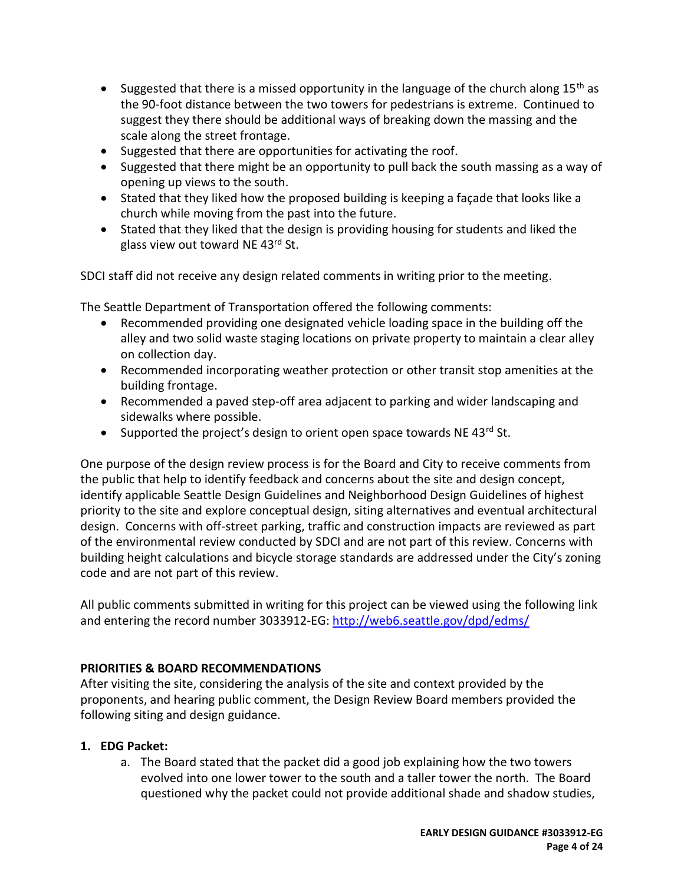- Suggested that there is a missed opportunity in the language of the church along  $15<sup>th</sup>$  as the 90-foot distance between the two towers for pedestrians is extreme. Continued to suggest they there should be additional ways of breaking down the massing and the scale along the street frontage.
- Suggested that there are opportunities for activating the roof.
- Suggested that there might be an opportunity to pull back the south massing as a way of opening up views to the south.
- Stated that they liked how the proposed building is keeping a façade that looks like a church while moving from the past into the future.
- Stated that they liked that the design is providing housing for students and liked the glass view out toward NE 43rd St.

SDCI staff did not receive any design related comments in writing prior to the meeting.

The Seattle Department of Transportation offered the following comments:

- Recommended providing one designated vehicle loading space in the building off the alley and two solid waste staging locations on private property to maintain a clear alley on collection day.
- Recommended incorporating weather protection or other transit stop amenities at the building frontage.
- Recommended a paved step-off area adjacent to parking and wider landscaping and sidewalks where possible.
- Supported the project's design to orient open space towards NE  $43^{rd}$  St.

One purpose of the design review process is for the Board and City to receive comments from the public that help to identify feedback and concerns about the site and design concept, identify applicable Seattle Design Guidelines and Neighborhood Design Guidelines of highest priority to the site and explore conceptual design, siting alternatives and eventual architectural design. Concerns with off-street parking, traffic and construction impacts are reviewed as part of the environmental review conducted by SDCI and are not part of this review. Concerns with building height calculations and bicycle storage standards are addressed under the City's zoning code and are not part of this review.

All public comments submitted in writing for this project can be viewed using the following link and entering the record number 3033912-EG[: http://web6.seattle.gov/dpd/edms/](http://web6.seattle.gov/dpd/edms/)

## **PRIORITIES & BOARD RECOMMENDATIONS**

After visiting the site, considering the analysis of the site and context provided by the proponents, and hearing public comment, the Design Review Board members provided the following siting and design guidance.

## **1. EDG Packet:**

a. The Board stated that the packet did a good job explaining how the two towers evolved into one lower tower to the south and a taller tower the north. The Board questioned why the packet could not provide additional shade and shadow studies,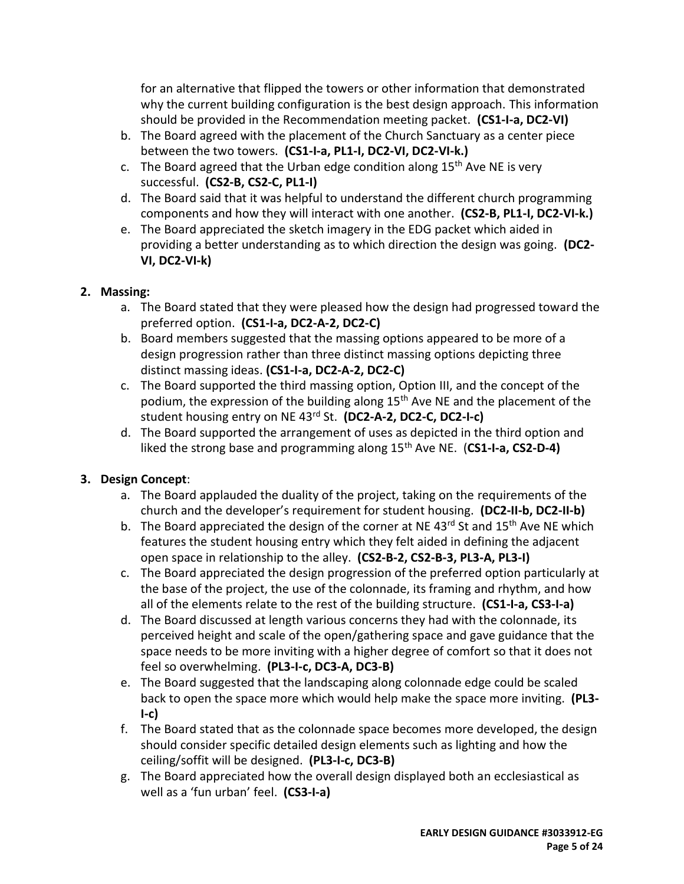for an alternative that flipped the towers or other information that demonstrated why the current building configuration is the best design approach. This information should be provided in the Recommendation meeting packet. **(CS1-I-a, DC2-VI)**

- b. The Board agreed with the placement of the Church Sanctuary as a center piece between the two towers. **(CS1-I-a, PL1-I, DC2-VI, DC2-VI-k.)**
- c. The Board agreed that the Urban edge condition along  $15<sup>th</sup>$  Ave NE is very successful. **(CS2-B, CS2-C, PL1-I)**
- d. The Board said that it was helpful to understand the different church programming components and how they will interact with one another. **(CS2-B, PL1-I, DC2-VI-k.)**
- e. The Board appreciated the sketch imagery in the EDG packet which aided in providing a better understanding as to which direction the design was going. **(DC2- VI, DC2-VI-k)**

# **2. Massing:**

- a. The Board stated that they were pleased how the design had progressed toward the preferred option. **(CS1-I-a, DC2-A-2, DC2-C)**
- b. Board members suggested that the massing options appeared to be more of a design progression rather than three distinct massing options depicting three distinct massing ideas. **(CS1-I-a, DC2-A-2, DC2-C)**
- c. The Board supported the third massing option, Option III, and the concept of the podium, the expression of the building along  $15<sup>th</sup>$  Ave NE and the placement of the student housing entry on NE 43rd St. **(DC2-A-2, DC2-C, DC2-I-c)**
- d. The Board supported the arrangement of uses as depicted in the third option and liked the strong base and programming along 15<sup>th</sup> Ave NE. (CS1-I-a, CS2-D-4)

# **3. Design Concept**:

- a. The Board applauded the duality of the project, taking on the requirements of the church and the developer's requirement for student housing. **(DC2-II-b, DC2-II-b)**
- b. The Board appreciated the design of the corner at NE  $43^{rd}$  St and  $15^{th}$  Ave NE which features the student housing entry which they felt aided in defining the adjacent open space in relationship to the alley. **(CS2-B-2, CS2-B-3, PL3-A, PL3-I)**
- c. The Board appreciated the design progression of the preferred option particularly at the base of the project, the use of the colonnade, its framing and rhythm, and how all of the elements relate to the rest of the building structure. **(CS1-I-a, CS3-I-a)**
- d. The Board discussed at length various concerns they had with the colonnade, its perceived height and scale of the open/gathering space and gave guidance that the space needs to be more inviting with a higher degree of comfort so that it does not feel so overwhelming. **(PL3-I-c, DC3-A, DC3-B)**
- e. The Board suggested that the landscaping along colonnade edge could be scaled back to open the space more which would help make the space more inviting. **(PL3- I-c)**
- f. The Board stated that as the colonnade space becomes more developed, the design should consider specific detailed design elements such as lighting and how the ceiling/soffit will be designed. **(PL3-I-c, DC3-B)**
- g. The Board appreciated how the overall design displayed both an ecclesiastical as well as a 'fun urban' feel. **(CS3-I-a)**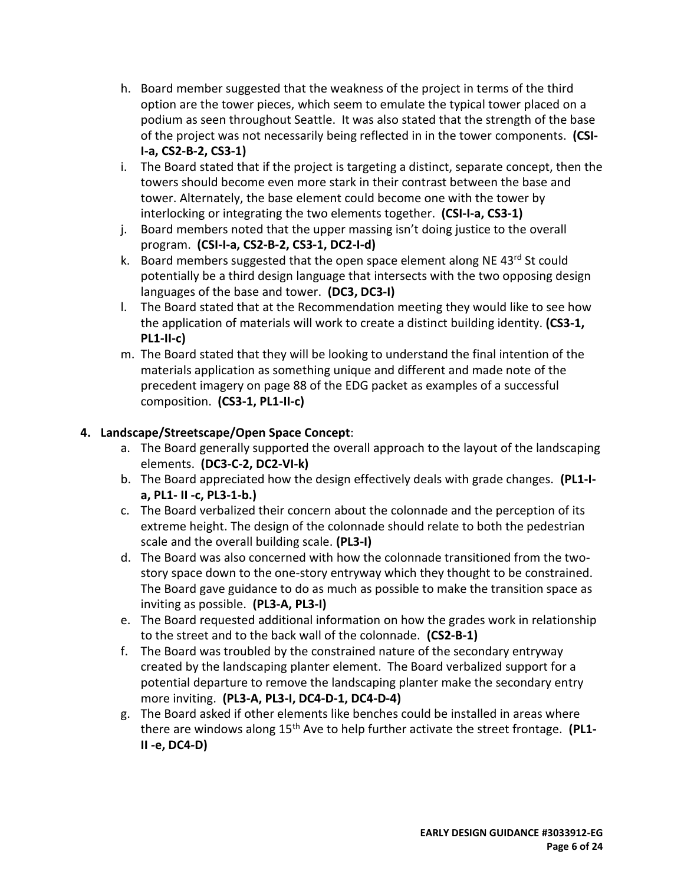- h. Board member suggested that the weakness of the project in terms of the third option are the tower pieces, which seem to emulate the typical tower placed on a podium as seen throughout Seattle. It was also stated that the strength of the base of the project was not necessarily being reflected in in the tower components. **(CSI-I-a, CS2-B-2, CS3-1)**
- i. The Board stated that if the project is targeting a distinct, separate concept, then the towers should become even more stark in their contrast between the base and tower. Alternately, the base element could become one with the tower by interlocking or integrating the two elements together. **(CSI-I-a, CS3-1)**
- j. Board members noted that the upper massing isn't doing justice to the overall program. **(CSI-I-a, CS2-B-2, CS3-1, DC2-I-d)**
- k. Board members suggested that the open space element along NE 43rd St could potentially be a third design language that intersects with the two opposing design languages of the base and tower. **(DC3, DC3-I)**
- l. The Board stated that at the Recommendation meeting they would like to see how the application of materials will work to create a distinct building identity. **(CS3-1, PL1-II-c)**
- m. The Board stated that they will be looking to understand the final intention of the materials application as something unique and different and made note of the precedent imagery on page 88 of the EDG packet as examples of a successful composition. **(CS3-1, PL1-II-c)**

# **4. Landscape/Streetscape/Open Space Concept**:

- a. The Board generally supported the overall approach to the layout of the landscaping elements. **(DC3-C-2, DC2-VI-k)**
- b. The Board appreciated how the design effectively deals with grade changes. **(PL1-Ia, PL1- II -c, PL3-1-b.)**
- c. The Board verbalized their concern about the colonnade and the perception of its extreme height. The design of the colonnade should relate to both the pedestrian scale and the overall building scale. **(PL3-I)**
- d. The Board was also concerned with how the colonnade transitioned from the twostory space down to the one-story entryway which they thought to be constrained. The Board gave guidance to do as much as possible to make the transition space as inviting as possible. **(PL3-A, PL3-I)**
- e. The Board requested additional information on how the grades work in relationship to the street and to the back wall of the colonnade. **(CS2-B-1)**
- f. The Board was troubled by the constrained nature of the secondary entryway created by the landscaping planter element. The Board verbalized support for a potential departure to remove the landscaping planter make the secondary entry more inviting. **(PL3-A, PL3-I, DC4-D-1, DC4-D-4)**
- g. The Board asked if other elements like benches could be installed in areas where there are windows along 15th Ave to help further activate the street frontage. **(PL1- II -e, DC4-D)**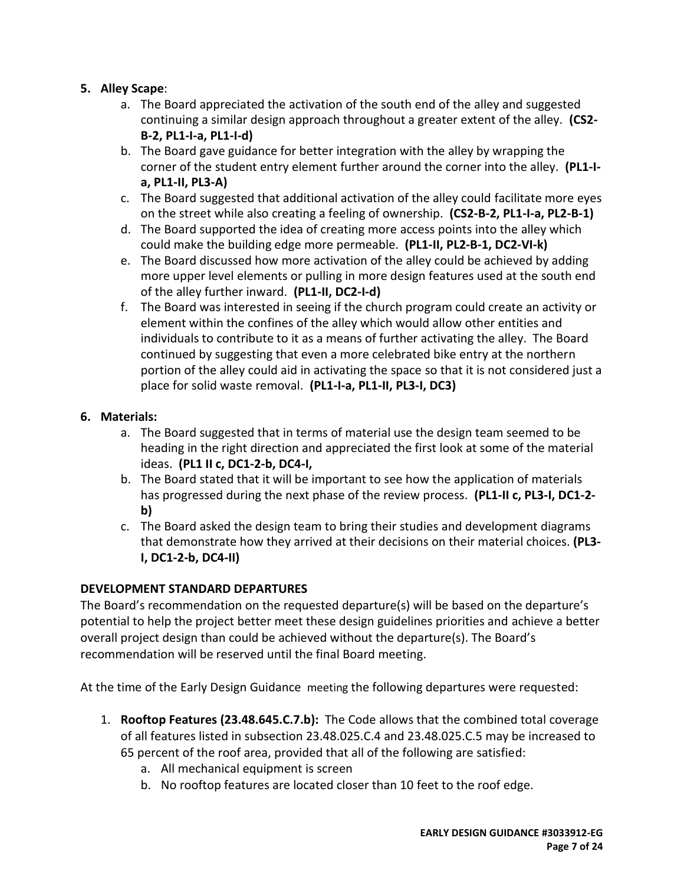# **5. Alley Scape**:

- a. The Board appreciated the activation of the south end of the alley and suggested continuing a similar design approach throughout a greater extent of the alley. **(CS2- B-2, PL1-I-a, PL1-I-d)**
- b. The Board gave guidance for better integration with the alley by wrapping the corner of the student entry element further around the corner into the alley. **(PL1-Ia, PL1-II, PL3-A)**
- c. The Board suggested that additional activation of the alley could facilitate more eyes on the street while also creating a feeling of ownership. **(CS2-B-2, PL1-I-a, PL2-B-1)**
- d. The Board supported the idea of creating more access points into the alley which could make the building edge more permeable. **(PL1-II, PL2-B-1, DC2-VI-k)**
- e. The Board discussed how more activation of the alley could be achieved by adding more upper level elements or pulling in more design features used at the south end of the alley further inward. **(PL1-II, DC2-I-d)**
- f. The Board was interested in seeing if the church program could create an activity or element within the confines of the alley which would allow other entities and individuals to contribute to it as a means of further activating the alley. The Board continued by suggesting that even a more celebrated bike entry at the northern portion of the alley could aid in activating the space so that it is not considered just a place for solid waste removal. **(PL1-I-a, PL1-II, PL3-I, DC3)**

# **6. Materials:**

- a. The Board suggested that in terms of material use the design team seemed to be heading in the right direction and appreciated the first look at some of the material ideas. **(PL1 II c, DC1-2-b, DC4-I,**
- b. The Board stated that it will be important to see how the application of materials has progressed during the next phase of the review process. **(PL1-II c, PL3-I, DC1-2 b)**
- c. The Board asked the design team to bring their studies and development diagrams that demonstrate how they arrived at their decisions on their material choices. **(PL3- I, DC1-2-b, DC4-II)**

# **DEVELOPMENT STANDARD DEPARTURES**

The Board's recommendation on the requested departure(s) will be based on the departure's potential to help the project better meet these design guidelines priorities and achieve a better overall project design than could be achieved without the departure(s). The Board's recommendation will be reserved until the final Board meeting.

At the time of the Early Design Guidance meeting the following departures were requested:

- 1. **Rooftop Features (23.48.645.C.7.b):** The Code allows that the combined total coverage of all features listed in subsection 23.48.025.C.4 and 23.48.025.C.5 may be increased to 65 percent of the roof area, provided that all of the following are satisfied:
	- a. All mechanical equipment is screen
	- b. No rooftop features are located closer than 10 feet to the roof edge.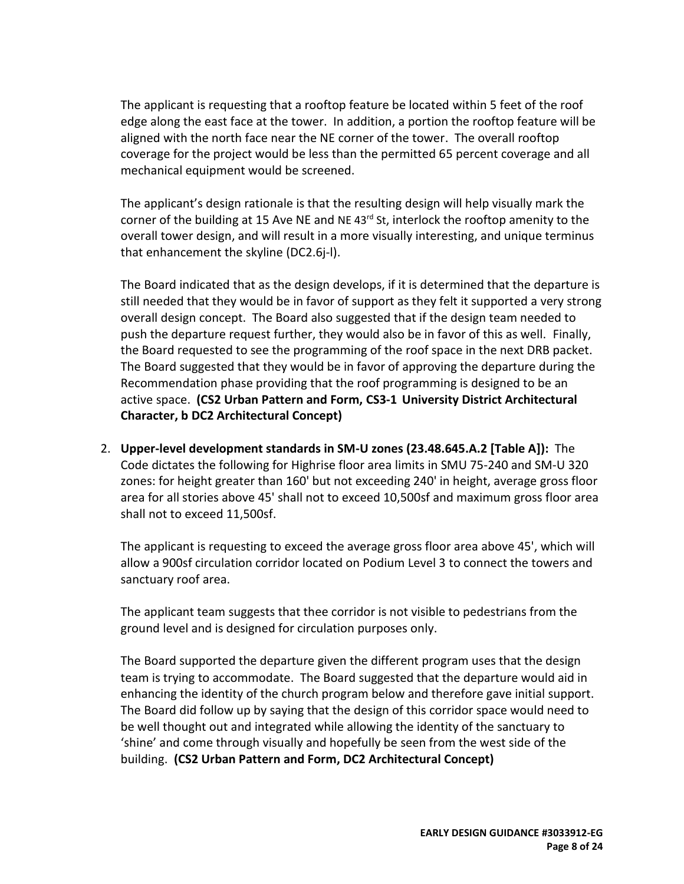The applicant is requesting that a rooftop feature be located within 5 feet of the roof edge along the east face at the tower. In addition, a portion the rooftop feature will be aligned with the north face near the NE corner of the tower. The overall rooftop coverage for the project would be less than the permitted 65 percent coverage and all mechanical equipment would be screened.

The applicant's design rationale is that the resulting design will help visually mark the corner of the building at 15 Ave NE and NE 43<sup>rd</sup> St, interlock the rooftop amenity to the overall tower design, and will result in a more visually interesting, and unique terminus that enhancement the skyline (DC2.6j-l).

The Board indicated that as the design develops, if it is determined that the departure is still needed that they would be in favor of support as they felt it supported a very strong overall design concept. The Board also suggested that if the design team needed to push the departure request further, they would also be in favor of this as well. Finally, the Board requested to see the programming of the roof space in the next DRB packet. The Board suggested that they would be in favor of approving the departure during the Recommendation phase providing that the roof programming is designed to be an active space. **(CS2 Urban Pattern and Form, CS3-1 University District Architectural Character, b DC2 Architectural Concept)**

2. **Upper-level development standards in SM-U zones (23.48.645.A.2 [Table A]):** The Code dictates the following for Highrise floor area limits in SMU 75-240 and SM-U 320 zones: for height greater than 160' but not exceeding 240' in height, average gross floor area for all stories above 45' shall not to exceed 10,500sf and maximum gross floor area shall not to exceed 11,500sf.

The applicant is requesting to exceed the average gross floor area above 45', which will allow a 900sf circulation corridor located on Podium Level 3 to connect the towers and sanctuary roof area.

The applicant team suggests that thee corridor is not visible to pedestrians from the ground level and is designed for circulation purposes only.

The Board supported the departure given the different program uses that the design team is trying to accommodate. The Board suggested that the departure would aid in enhancing the identity of the church program below and therefore gave initial support. The Board did follow up by saying that the design of this corridor space would need to be well thought out and integrated while allowing the identity of the sanctuary to 'shine' and come through visually and hopefully be seen from the west side of the building. **(CS2 Urban Pattern and Form, DC2 Architectural Concept)**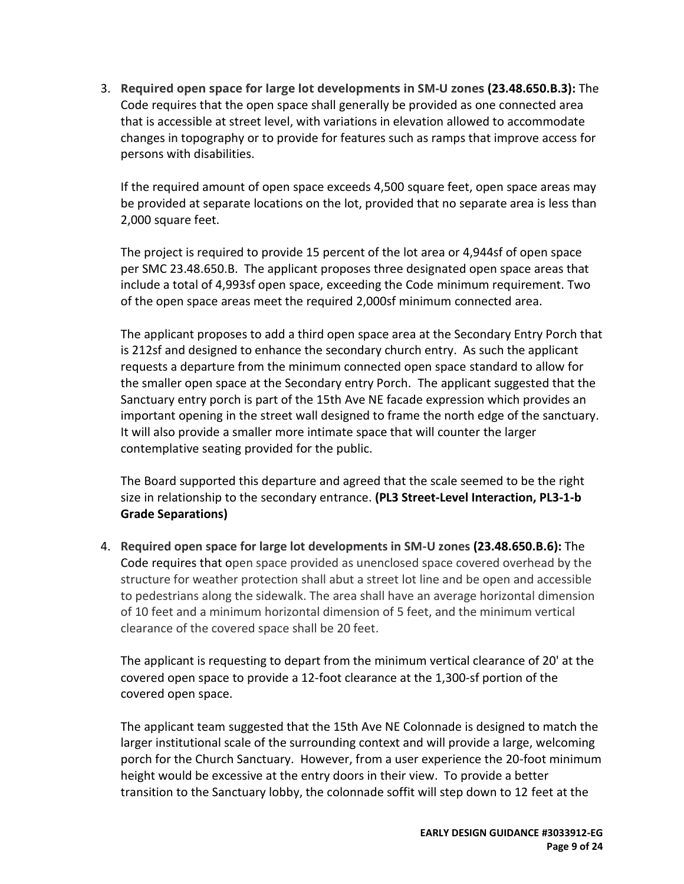3. **Required open space for large lot developments in SM-U zones (23.48.650.B.3):** The Code requires that the open space shall generally be provided as one connected area that is accessible at street level, with variations in elevation allowed to accommodate changes in topography or to provide for features such as ramps that improve access for persons with disabilities.

If the required amount of open space exceeds 4,500 square feet, open space areas may be provided at separate locations on the lot, provided that no separate area is less than 2,000 square feet.

The project is required to provide 15 percent of the lot area or 4,944sf of open space per SMC 23.48.650.B. The applicant proposes three designated open space areas that include a total of 4,993sf open space, exceeding the Code minimum requirement. Two of the open space areas meet the required 2,000sf minimum connected area.

The applicant proposes to add a third open space area at the Secondary Entry Porch that is 212sf and designed to enhance the secondary church entry. As such the applicant requests a departure from the minimum connected open space standard to allow for the smaller open space at the Secondary entry Porch. The applicant suggested that the Sanctuary entry porch is part of the 15th Ave NE facade expression which provides an important opening in the street wall designed to frame the north edge of the sanctuary. It will also provide a smaller more intimate space that will counter the larger contemplative seating provided for the public.

The Board supported this departure and agreed that the scale seemed to be the right size in relationship to the secondary entrance. **(PL3 Street-Level Interaction, PL3-1-b Grade Separations)**

4. **Required open space for large lot developments in SM-U zones (23.48.650.B.6):** The Code requires that open space provided as unenclosed space covered overhead by the structure for weather protection shall abut a street lot line and be open and accessible to pedestrians along the sidewalk. The area shall have an average horizontal dimension of 10 feet and a minimum horizontal dimension of 5 feet, and the minimum vertical clearance of the covered space shall be 20 feet.

The applicant is requesting to depart from the minimum vertical clearance of 20' at the covered open space to provide a 12-foot clearance at the 1,300-sf portion of the covered open space.

The applicant team suggested that the 15th Ave NE Colonnade is designed to match the larger institutional scale of the surrounding context and will provide a large, welcoming porch for the Church Sanctuary. However, from a user experience the 20-foot minimum height would be excessive at the entry doors in their view. To provide a better transition to the Sanctuary lobby, the colonnade soffit will step down to 12 feet at the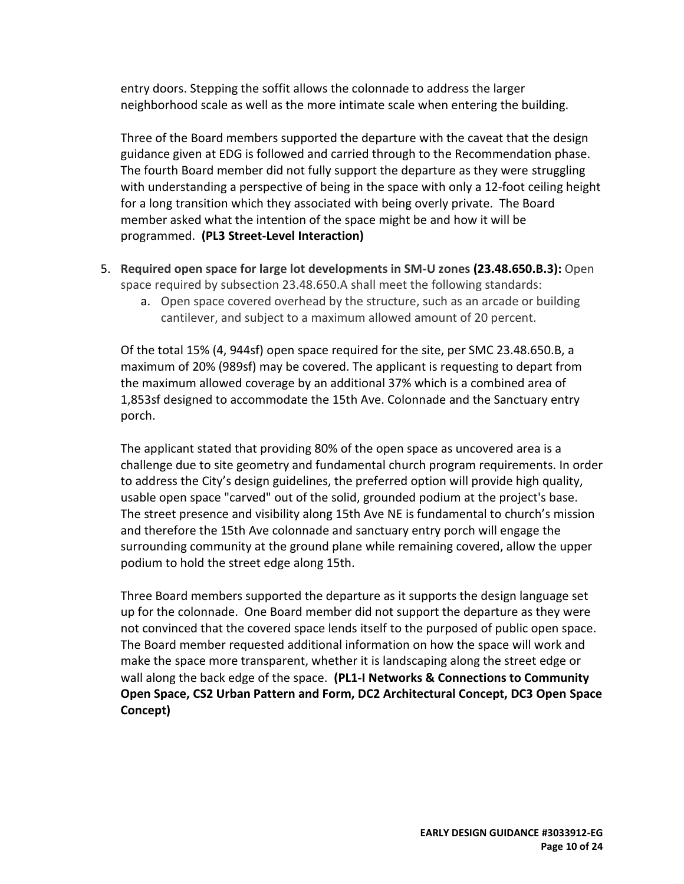entry doors. Stepping the soffit allows the colonnade to address the larger neighborhood scale as well as the more intimate scale when entering the building.

Three of the Board members supported the departure with the caveat that the design guidance given at EDG is followed and carried through to the Recommendation phase. The fourth Board member did not fully support the departure as they were struggling with understanding a perspective of being in the space with only a 12-foot ceiling height for a long transition which they associated with being overly private. The Board member asked what the intention of the space might be and how it will be programmed. **(PL3 Street-Level Interaction)** 

- 5. **Required open space for large lot developments in SM-U zones (23.48.650.B.3):** Open space required by subsection 23.48.650.A shall meet the following standards:
	- a. Open space covered overhead by the structure, such as an arcade or building cantilever, and subject to a maximum allowed amount of 20 percent.

Of the total 15% (4, 944sf) open space required for the site, per SMC 23.48.650.B, a maximum of 20% (989sf) may be covered. The applicant is requesting to depart from the maximum allowed coverage by an additional 37% which is a combined area of 1,853sf designed to accommodate the 15th Ave. Colonnade and the Sanctuary entry porch.

The applicant stated that providing 80% of the open space as uncovered area is a challenge due to site geometry and fundamental church program requirements. In order to address the City's design guidelines, the preferred option will provide high quality, usable open space "carved" out of the solid, grounded podium at the project's base. The street presence and visibility along 15th Ave NE is fundamental to church's mission and therefore the 15th Ave colonnade and sanctuary entry porch will engage the surrounding community at the ground plane while remaining covered, allow the upper podium to hold the street edge along 15th.

Three Board members supported the departure as it supports the design language set up for the colonnade. One Board member did not support the departure as they were not convinced that the covered space lends itself to the purposed of public open space. The Board member requested additional information on how the space will work and make the space more transparent, whether it is landscaping along the street edge or wall along the back edge of the space. **(PL1-I Networks & Connections to Community Open Space, CS2 Urban Pattern and Form, DC2 Architectural Concept, DC3 Open Space Concept)**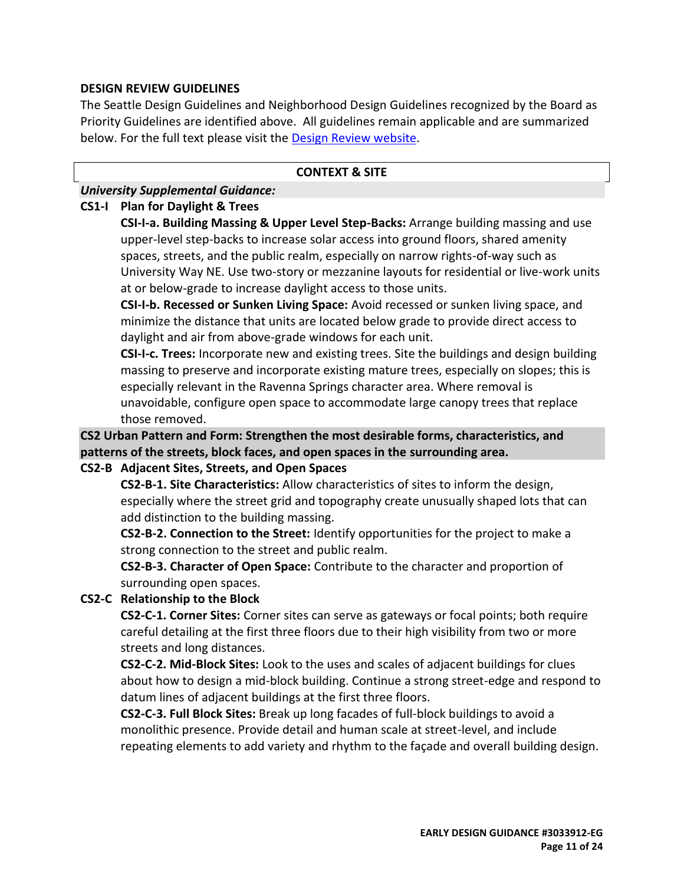### **DESIGN REVIEW GUIDELINES**

The Seattle Design Guidelines and Neighborhood Design Guidelines recognized by the Board as Priority Guidelines are identified above. All guidelines remain applicable and are summarized below. For the full text please visit the [Design Review website.](https://www.seattle.gov/dpd/aboutus/whoweare/designreview/designguidelines/default.htm)

#### **CONTEXT & SITE**

### *University Supplemental Guidance:*

#### **CS1-I Plan for Daylight & Trees**

**CSI-I-a. Building Massing & Upper Level Step-Backs:** Arrange building massing and use upper-level step-backs to increase solar access into ground floors, shared amenity spaces, streets, and the public realm, especially on narrow rights-of-way such as University Way NE. Use two-story or mezzanine layouts for residential or live-work units at or below-grade to increase daylight access to those units.

**CSI-I-b. Recessed or Sunken Living Space:** Avoid recessed or sunken living space, and minimize the distance that units are located below grade to provide direct access to daylight and air from above-grade windows for each unit.

**CSI-I-c. Trees:** Incorporate new and existing trees. Site the buildings and design building massing to preserve and incorporate existing mature trees, especially on slopes; this is especially relevant in the Ravenna Springs character area. Where removal is unavoidable, configure open space to accommodate large canopy trees that replace those removed.

**CS2 Urban Pattern and Form: Strengthen the most desirable forms, characteristics, and patterns of the streets, block faces, and open spaces in the surrounding area.**

### **CS2-B Adjacent Sites, Streets, and Open Spaces**

**CS2-B-1. Site Characteristics:** Allow characteristics of sites to inform the design, especially where the street grid and topography create unusually shaped lots that can add distinction to the building massing.

**CS2-B-2. Connection to the Street:** Identify opportunities for the project to make a strong connection to the street and public realm.

**CS2-B-3. Character of Open Space:** Contribute to the character and proportion of surrounding open spaces.

### **CS2-C Relationship to the Block**

**CS2-C-1. Corner Sites:** Corner sites can serve as gateways or focal points; both require careful detailing at the first three floors due to their high visibility from two or more streets and long distances.

**CS2-C-2. Mid-Block Sites:** Look to the uses and scales of adjacent buildings for clues about how to design a mid-block building. Continue a strong street-edge and respond to datum lines of adjacent buildings at the first three floors.

**CS2-C-3. Full Block Sites:** Break up long facades of full-block buildings to avoid a monolithic presence. Provide detail and human scale at street-level, and include repeating elements to add variety and rhythm to the façade and overall building design.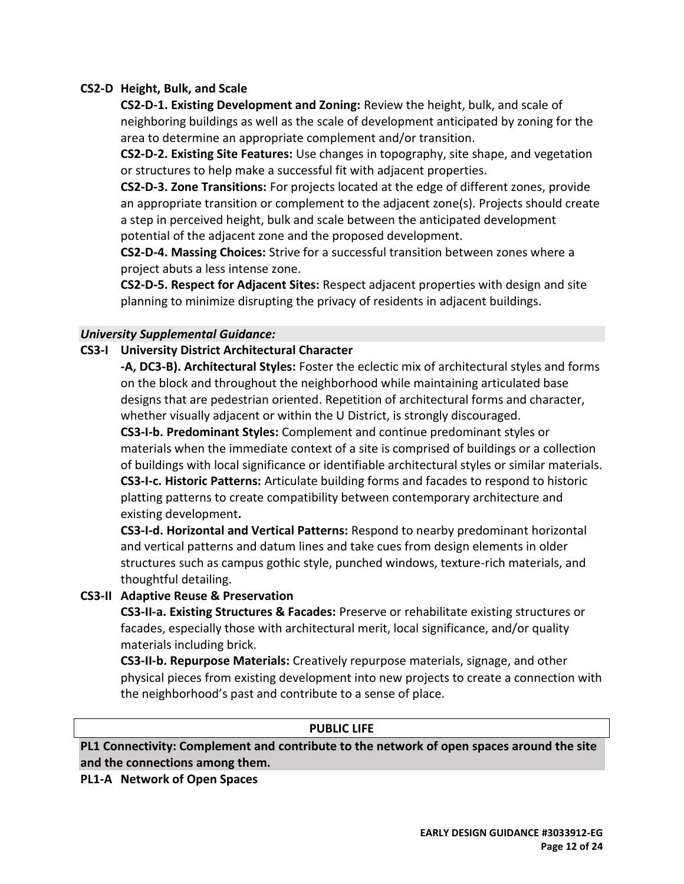### **CS2-D Height, Bulk, and Scale**

**CS2-D-1. Existing Development and Zoning:** Review the height, bulk, and scale of neighboring buildings as well as the scale of development anticipated by zoning for the area to determine an appropriate complement and/or transition.

**CS2-D-2. Existing Site Features:** Use changes in topography, site shape, and vegetation or structures to help make a successful fit with adjacent properties.

**CS2-D-3. Zone Transitions:** For projects located at the edge of different zones, provide an appropriate transition or complement to the adjacent zone(s). Projects should create a step in perceived height, bulk and scale between the anticipated development potential of the adjacent zone and the proposed development.

**CS2-D-4. Massing Choices:** Strive for a successful transition between zones where a project abuts a less intense zone.

**CS2-D-5. Respect for Adjacent Sites:** Respect adjacent properties with design and site planning to minimize disrupting the privacy of residents in adjacent buildings.

### *University Supplemental Guidance:*

### **CS3-I University District Architectural Character**

**-A, DC3-B). Architectural Styles:** Foster the eclectic mix of architectural styles and forms on the block and throughout the neighborhood while maintaining articulated base designs that are pedestrian oriented. Repetition of architectural forms and character, whether visually adjacent or within the U District, is strongly discouraged.

**CS3-I-b. Predominant Styles:** Complement and continue predominant styles or materials when the immediate context of a site is comprised of buildings or a collection of buildings with local significance or identifiable architectural styles or similar materials. **CS3-I-c. Historic Patterns:** Articulate building forms and facades to respond to historic platting patterns to create compatibility between contemporary architecture and existing development**.**

**CS3-I-d. Horizontal and Vertical Patterns:** Respond to nearby predominant horizontal and vertical patterns and datum lines and take cues from design elements in older structures such as campus gothic style, punched windows, texture-rich materials, and thoughtful detailing.

### **CS3-II Adaptive Reuse & Preservation**

**CS3-II-a. Existing Structures & Facades:** Preserve or rehabilitate existing structures or facades, especially those with architectural merit, local significance, and/or quality materials including brick.

**CS3-II-b. Repurpose Materials:** Creatively repurpose materials, signage, and other physical pieces from existing development into new projects to create a connection with the neighborhood's past and contribute to a sense of place.

#### **PUBLIC LIFE**

**PL1 Connectivity: Complement and contribute to the network of open spaces around the site and the connections among them.**

**PL1-A Network of Open Spaces**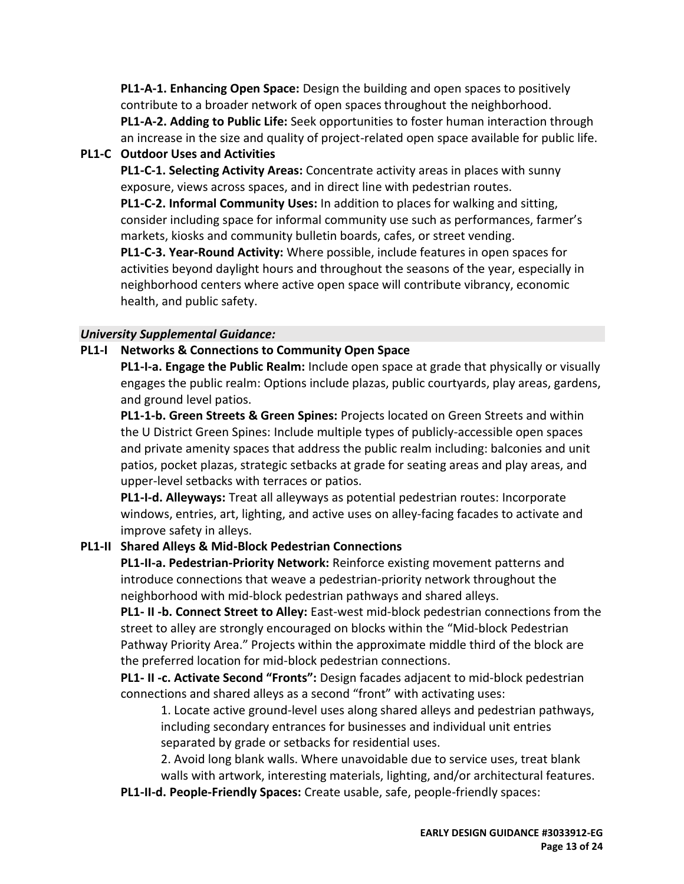**PL1-A-1. Enhancing Open Space:** Design the building and open spaces to positively contribute to a broader network of open spaces throughout the neighborhood. **PL1-A-2. Adding to Public Life:** Seek opportunities to foster human interaction through an increase in the size and quality of project-related open space available for public life.

# **PL1-C Outdoor Uses and Activities**

**PL1-C-1. Selecting Activity Areas:** Concentrate activity areas in places with sunny exposure, views across spaces, and in direct line with pedestrian routes.

**PL1-C-2. Informal Community Uses:** In addition to places for walking and sitting, consider including space for informal community use such as performances, farmer's markets, kiosks and community bulletin boards, cafes, or street vending.

**PL1-C-3. Year-Round Activity:** Where possible, include features in open spaces for activities beyond daylight hours and throughout the seasons of the year, especially in neighborhood centers where active open space will contribute vibrancy, economic health, and public safety.

## *University Supplemental Guidance:*

## **PL1-I Networks & Connections to Community Open Space**

**PL1-I-a. Engage the Public Realm:** Include open space at grade that physically or visually engages the public realm: Options include plazas, public courtyards, play areas, gardens, and ground level patios.

**PL1-1-b. Green Streets & Green Spines:** Projects located on Green Streets and within the U District Green Spines: Include multiple types of publicly-accessible open spaces and private amenity spaces that address the public realm including: balconies and unit patios, pocket plazas, strategic setbacks at grade for seating areas and play areas, and upper-level setbacks with terraces or patios.

**PL1-I-d. Alleyways:** Treat all alleyways as potential pedestrian routes: Incorporate windows, entries, art, lighting, and active uses on alley-facing facades to activate and improve safety in alleys.

## **PL1-II Shared Alleys & Mid-Block Pedestrian Connections**

**PL1-II-a. Pedestrian-Priority Network:** Reinforce existing movement patterns and introduce connections that weave a pedestrian-priority network throughout the neighborhood with mid-block pedestrian pathways and shared alleys.

**PL1- II -b. Connect Street to Alley:** East-west mid-block pedestrian connections from the street to alley are strongly encouraged on blocks within the "Mid-block Pedestrian Pathway Priority Area." Projects within the approximate middle third of the block are the preferred location for mid-block pedestrian connections.

**PL1- II -c. Activate Second "Fronts":** Design facades adjacent to mid-block pedestrian connections and shared alleys as a second "front" with activating uses:

1. Locate active ground-level uses along shared alleys and pedestrian pathways, including secondary entrances for businesses and individual unit entries separated by grade or setbacks for residential uses.

2. Avoid long blank walls. Where unavoidable due to service uses, treat blank

walls with artwork, interesting materials, lighting, and/or architectural features.

**PL1-II-d. People-Friendly Spaces:** Create usable, safe, people-friendly spaces: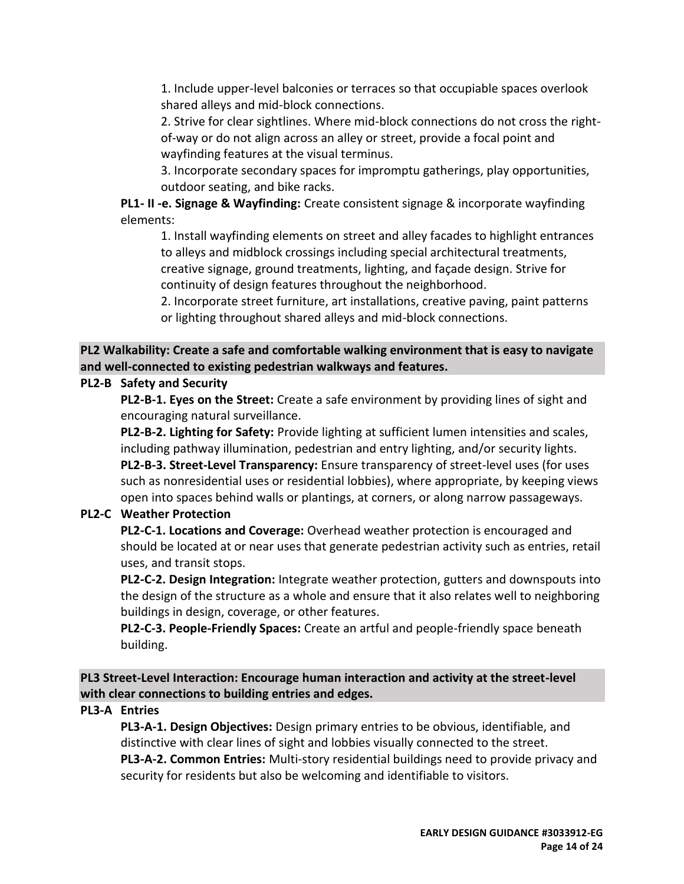1. Include upper-level balconies or terraces so that occupiable spaces overlook shared alleys and mid-block connections.

2. Strive for clear sightlines. Where mid-block connections do not cross the rightof-way or do not align across an alley or street, provide a focal point and wayfinding features at the visual terminus.

3. Incorporate secondary spaces for impromptu gatherings, play opportunities, outdoor seating, and bike racks.

**PL1- II -e. Signage & Wayfinding:** Create consistent signage & incorporate wayfinding elements:

1. Install wayfinding elements on street and alley facades to highlight entrances to alleys and midblock crossings including special architectural treatments, creative signage, ground treatments, lighting, and façade design. Strive for continuity of design features throughout the neighborhood.

2. Incorporate street furniture, art installations, creative paving, paint patterns or lighting throughout shared alleys and mid-block connections.

# **PL2 Walkability: Create a safe and comfortable walking environment that is easy to navigate and well-connected to existing pedestrian walkways and features.**

# **PL2-B Safety and Security**

**PL2-B-1. Eyes on the Street:** Create a safe environment by providing lines of sight and encouraging natural surveillance.

**PL2-B-2. Lighting for Safety:** Provide lighting at sufficient lumen intensities and scales, including pathway illumination, pedestrian and entry lighting, and/or security lights. **PL2-B-3. Street-Level Transparency:** Ensure transparency of street-level uses (for uses such as nonresidential uses or residential lobbies), where appropriate, by keeping views open into spaces behind walls or plantings, at corners, or along narrow passageways.

# **PL2-C Weather Protection**

**PL2-C-1. Locations and Coverage:** Overhead weather protection is encouraged and should be located at or near uses that generate pedestrian activity such as entries, retail uses, and transit stops.

**PL2-C-2. Design Integration:** Integrate weather protection, gutters and downspouts into the design of the structure as a whole and ensure that it also relates well to neighboring buildings in design, coverage, or other features.

**PL2-C-3. People-Friendly Spaces:** Create an artful and people-friendly space beneath building.

**PL3 Street-Level Interaction: Encourage human interaction and activity at the street-level with clear connections to building entries and edges.**

## **PL3-A Entries**

**PL3-A-1. Design Objectives:** Design primary entries to be obvious, identifiable, and distinctive with clear lines of sight and lobbies visually connected to the street. **PL3-A-2. Common Entries:** Multi-story residential buildings need to provide privacy and security for residents but also be welcoming and identifiable to visitors.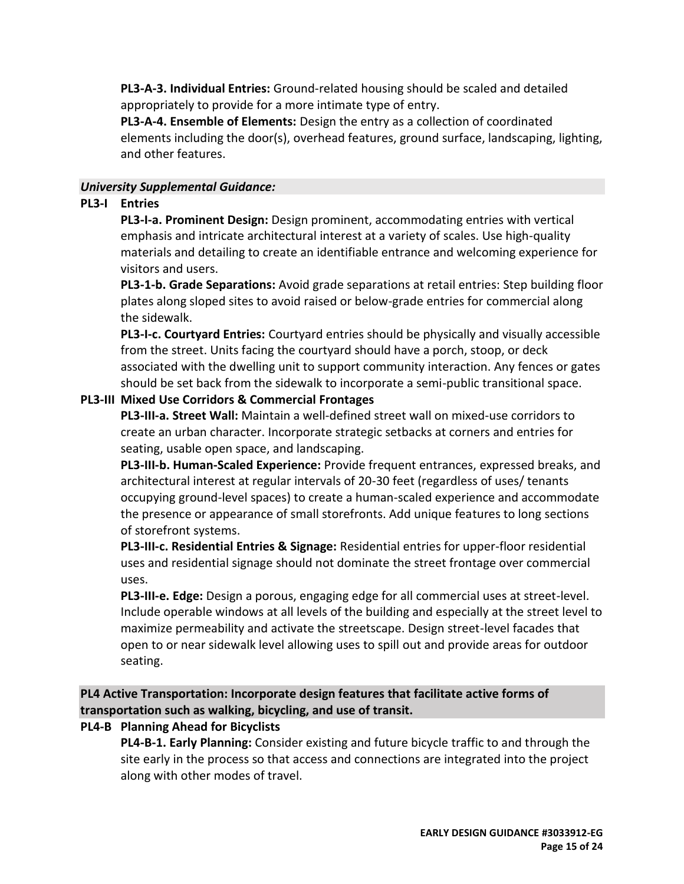**PL3-A-3. Individual Entries:** Ground-related housing should be scaled and detailed appropriately to provide for a more intimate type of entry.

**PL3-A-4. Ensemble of Elements:** Design the entry as a collection of coordinated elements including the door(s), overhead features, ground surface, landscaping, lighting, and other features.

## *University Supplemental Guidance:*

## **PL3-I Entries**

**PL3-I-a. Prominent Design:** Design prominent, accommodating entries with vertical emphasis and intricate architectural interest at a variety of scales. Use high-quality materials and detailing to create an identifiable entrance and welcoming experience for visitors and users.

**PL3-1-b. Grade Separations:** Avoid grade separations at retail entries: Step building floor plates along sloped sites to avoid raised or below-grade entries for commercial along the sidewalk.

**PL3-I-c. Courtyard Entries:** Courtyard entries should be physically and visually accessible from the street. Units facing the courtyard should have a porch, stoop, or deck associated with the dwelling unit to support community interaction. Any fences or gates should be set back from the sidewalk to incorporate a semi-public transitional space.

# **PL3-III Mixed Use Corridors & Commercial Frontages**

**PL3-III-a. Street Wall:** Maintain a well-defined street wall on mixed-use corridors to create an urban character. Incorporate strategic setbacks at corners and entries for seating, usable open space, and landscaping.

**PL3-III-b. Human-Scaled Experience:** Provide frequent entrances, expressed breaks, and architectural interest at regular intervals of 20-30 feet (regardless of uses/ tenants occupying ground-level spaces) to create a human-scaled experience and accommodate the presence or appearance of small storefronts. Add unique features to long sections of storefront systems.

**PL3-III-c. Residential Entries & Signage:** Residential entries for upper-floor residential uses and residential signage should not dominate the street frontage over commercial uses.

**PL3-III-e. Edge:** Design a porous, engaging edge for all commercial uses at street-level. Include operable windows at all levels of the building and especially at the street level to maximize permeability and activate the streetscape. Design street-level facades that open to or near sidewalk level allowing uses to spill out and provide areas for outdoor seating.

**PL4 Active Transportation: Incorporate design features that facilitate active forms of transportation such as walking, bicycling, and use of transit.**

**PL4-B Planning Ahead for Bicyclists**

**PL4-B-1. Early Planning:** Consider existing and future bicycle traffic to and through the site early in the process so that access and connections are integrated into the project along with other modes of travel.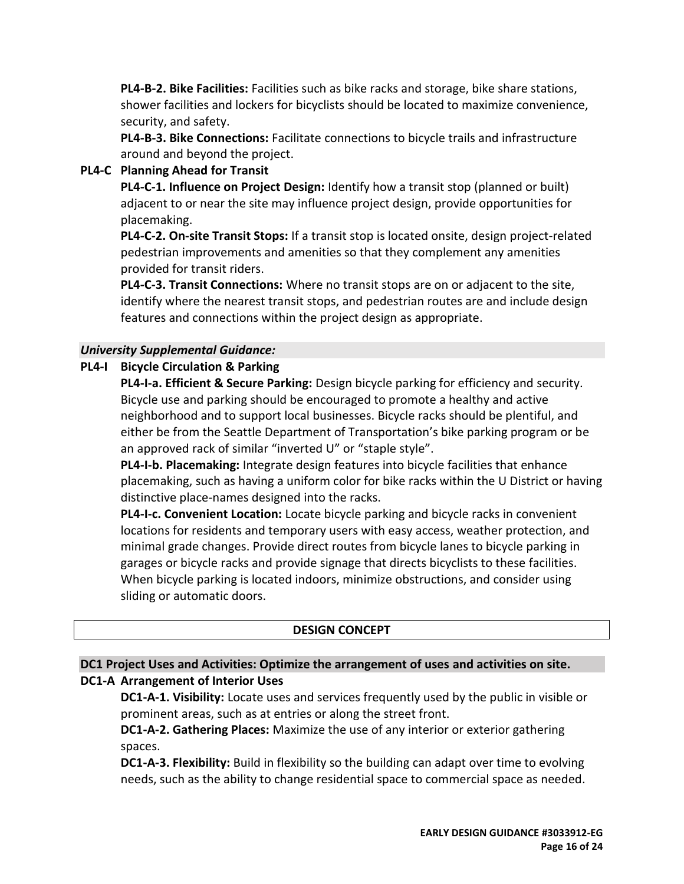**PL4-B-2. Bike Facilities:** Facilities such as bike racks and storage, bike share stations, shower facilities and lockers for bicyclists should be located to maximize convenience, security, and safety.

**PL4-B-3. Bike Connections:** Facilitate connections to bicycle trails and infrastructure around and beyond the project.

## **PL4-C Planning Ahead for Transit**

**PL4-C-1. Influence on Project Design:** Identify how a transit stop (planned or built) adjacent to or near the site may influence project design, provide opportunities for placemaking.

**PL4-C-2. On-site Transit Stops:** If a transit stop is located onsite, design project-related pedestrian improvements and amenities so that they complement any amenities provided for transit riders.

**PL4-C-3. Transit Connections:** Where no transit stops are on or adjacent to the site, identify where the nearest transit stops, and pedestrian routes are and include design features and connections within the project design as appropriate.

## *University Supplemental Guidance:*

## **PL4-I Bicycle Circulation & Parking**

**PL4-I-a. Efficient & Secure Parking:** Design bicycle parking for efficiency and security. Bicycle use and parking should be encouraged to promote a healthy and active neighborhood and to support local businesses. Bicycle racks should be plentiful, and either be from the Seattle Department of Transportation's bike parking program or be an approved rack of similar "inverted U" or "staple style".

**PL4-I-b. Placemaking:** Integrate design features into bicycle facilities that enhance placemaking, such as having a uniform color for bike racks within the U District or having distinctive place-names designed into the racks.

**PL4-I-c. Convenient Location:** Locate bicycle parking and bicycle racks in convenient locations for residents and temporary users with easy access, weather protection, and minimal grade changes. Provide direct routes from bicycle lanes to bicycle parking in garages or bicycle racks and provide signage that directs bicyclists to these facilities. When bicycle parking is located indoors, minimize obstructions, and consider using sliding or automatic doors.

## **DESIGN CONCEPT**

# **DC1 Project Uses and Activities: Optimize the arrangement of uses and activities on site. DC1-A Arrangement of Interior Uses**

**DC1-A-1. Visibility:** Locate uses and services frequently used by the public in visible or prominent areas, such as at entries or along the street front.

**DC1-A-2. Gathering Places:** Maximize the use of any interior or exterior gathering spaces.

**DC1-A-3. Flexibility:** Build in flexibility so the building can adapt over time to evolving needs, such as the ability to change residential space to commercial space as needed.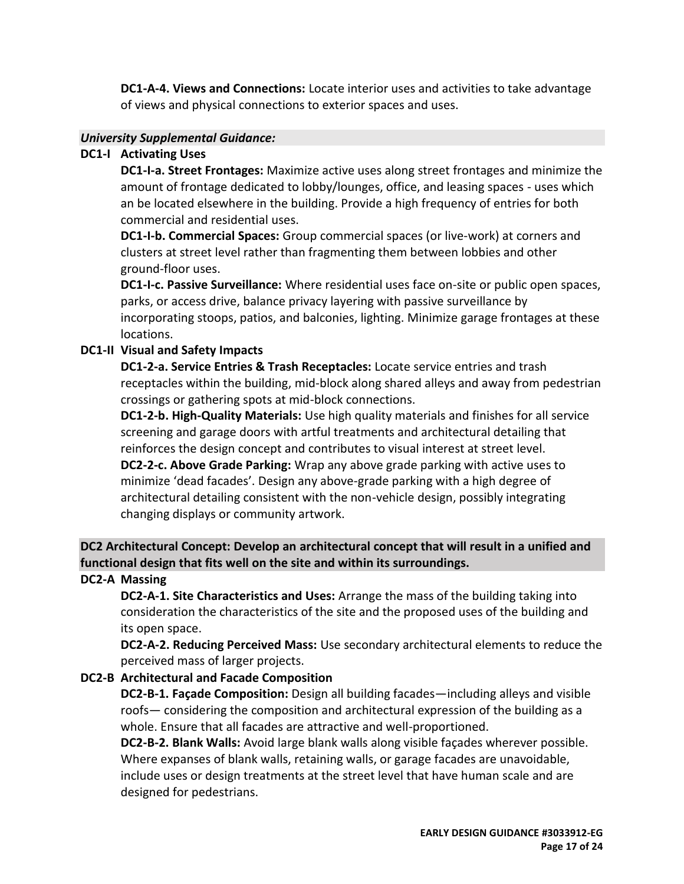**DC1-A-4. Views and Connections:** Locate interior uses and activities to take advantage of views and physical connections to exterior spaces and uses.

### *University Supplemental Guidance:*

### **DC1-I Activating Uses**

**DC1-I-a. Street Frontages:** Maximize active uses along street frontages and minimize the amount of frontage dedicated to lobby/lounges, office, and leasing spaces - uses which an be located elsewhere in the building. Provide a high frequency of entries for both commercial and residential uses.

**DC1-I-b. Commercial Spaces:** Group commercial spaces (or live-work) at corners and clusters at street level rather than fragmenting them between lobbies and other ground-floor uses.

**DC1-I-c. Passive Surveillance:** Where residential uses face on-site or public open spaces, parks, or access drive, balance privacy layering with passive surveillance by incorporating stoops, patios, and balconies, lighting. Minimize garage frontages at these locations.

### **DC1-II Visual and Safety Impacts**

**DC1-2-a. Service Entries & Trash Receptacles:** Locate service entries and trash receptacles within the building, mid-block along shared alleys and away from pedestrian crossings or gathering spots at mid-block connections.

**DC1-2-b. High-Quality Materials:** Use high quality materials and finishes for all service screening and garage doors with artful treatments and architectural detailing that reinforces the design concept and contributes to visual interest at street level. **DC2-2-c. Above Grade Parking:** Wrap any above grade parking with active uses to minimize 'dead facades'. Design any above-grade parking with a high degree of architectural detailing consistent with the non-vehicle design, possibly integrating changing displays or community artwork.

# **DC2 Architectural Concept: Develop an architectural concept that will result in a unified and functional design that fits well on the site and within its surroundings.**

## **DC2-A Massing**

**DC2-A-1. Site Characteristics and Uses:** Arrange the mass of the building taking into consideration the characteristics of the site and the proposed uses of the building and its open space.

**DC2-A-2. Reducing Perceived Mass:** Use secondary architectural elements to reduce the perceived mass of larger projects.

## **DC2-B Architectural and Facade Composition**

**DC2-B-1. Façade Composition:** Design all building facades—including alleys and visible roofs— considering the composition and architectural expression of the building as a whole. Ensure that all facades are attractive and well-proportioned.

**DC2-B-2. Blank Walls:** Avoid large blank walls along visible façades wherever possible. Where expanses of blank walls, retaining walls, or garage facades are unavoidable, include uses or design treatments at the street level that have human scale and are designed for pedestrians.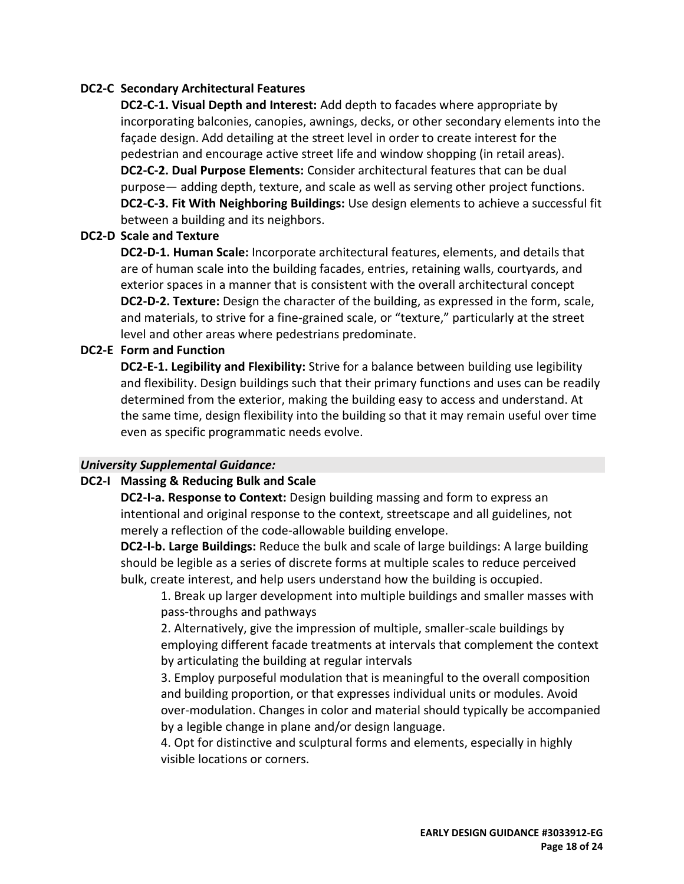### **DC2-C Secondary Architectural Features**

**DC2-C-1. Visual Depth and Interest:** Add depth to facades where appropriate by incorporating balconies, canopies, awnings, decks, or other secondary elements into the façade design. Add detailing at the street level in order to create interest for the pedestrian and encourage active street life and window shopping (in retail areas). **DC2-C-2. Dual Purpose Elements:** Consider architectural features that can be dual purpose— adding depth, texture, and scale as well as serving other project functions. **DC2-C-3. Fit With Neighboring Buildings:** Use design elements to achieve a successful fit between a building and its neighbors.

### **DC2-D Scale and Texture**

**DC2-D-1. Human Scale:** Incorporate architectural features, elements, and details that are of human scale into the building facades, entries, retaining walls, courtyards, and exterior spaces in a manner that is consistent with the overall architectural concept **DC2-D-2. Texture:** Design the character of the building, as expressed in the form, scale, and materials, to strive for a fine-grained scale, or "texture," particularly at the street level and other areas where pedestrians predominate.

### **DC2-E Form and Function**

**DC2-E-1. Legibility and Flexibility:** Strive for a balance between building use legibility and flexibility. Design buildings such that their primary functions and uses can be readily determined from the exterior, making the building easy to access and understand. At the same time, design flexibility into the building so that it may remain useful over time even as specific programmatic needs evolve.

### *University Supplemental Guidance:*

### **DC2-I Massing & Reducing Bulk and Scale**

**DC2-I-a. Response to Context:** Design building massing and form to express an intentional and original response to the context, streetscape and all guidelines, not merely a reflection of the code-allowable building envelope.

**DC2-I-b. Large Buildings:** Reduce the bulk and scale of large buildings: A large building should be legible as a series of discrete forms at multiple scales to reduce perceived bulk, create interest, and help users understand how the building is occupied.

1. Break up larger development into multiple buildings and smaller masses with pass-throughs and pathways

2. Alternatively, give the impression of multiple, smaller-scale buildings by employing different facade treatments at intervals that complement the context by articulating the building at regular intervals

3. Employ purposeful modulation that is meaningful to the overall composition and building proportion, or that expresses individual units or modules. Avoid over-modulation. Changes in color and material should typically be accompanied by a legible change in plane and/or design language.

4. Opt for distinctive and sculptural forms and elements, especially in highly visible locations or corners.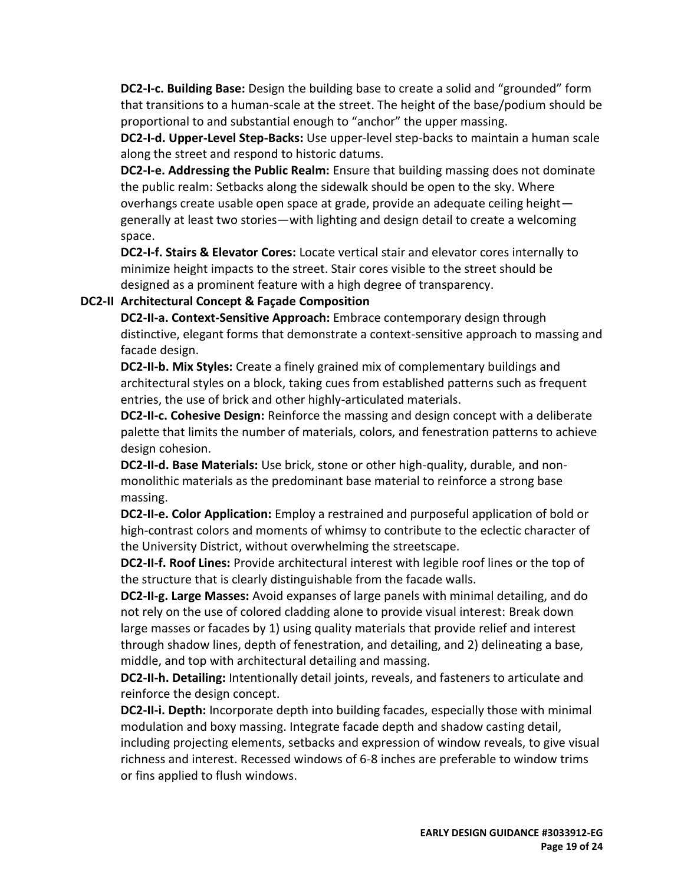**DC2-I-c. Building Base:** Design the building base to create a solid and "grounded" form that transitions to a human-scale at the street. The height of the base/podium should be proportional to and substantial enough to "anchor" the upper massing.

**DC2-I-d. Upper-Level Step-Backs:** Use upper-level step-backs to maintain a human scale along the street and respond to historic datums.

**DC2-I-e. Addressing the Public Realm:** Ensure that building massing does not dominate the public realm: Setbacks along the sidewalk should be open to the sky. Where overhangs create usable open space at grade, provide an adequate ceiling height generally at least two stories—with lighting and design detail to create a welcoming space.

**DC2-I-f. Stairs & Elevator Cores:** Locate vertical stair and elevator cores internally to minimize height impacts to the street. Stair cores visible to the street should be designed as a prominent feature with a high degree of transparency.

### **DC2-II Architectural Concept & Façade Composition**

**DC2-II-a. Context-Sensitive Approach:** Embrace contemporary design through distinctive, elegant forms that demonstrate a context-sensitive approach to massing and facade design.

**DC2-II-b. Mix Styles:** Create a finely grained mix of complementary buildings and architectural styles on a block, taking cues from established patterns such as frequent entries, the use of brick and other highly-articulated materials.

**DC2-II-c. Cohesive Design:** Reinforce the massing and design concept with a deliberate palette that limits the number of materials, colors, and fenestration patterns to achieve design cohesion.

**DC2-II-d. Base Materials:** Use brick, stone or other high-quality, durable, and nonmonolithic materials as the predominant base material to reinforce a strong base massing.

**DC2-II-e. Color Application:** Employ a restrained and purposeful application of bold or high-contrast colors and moments of whimsy to contribute to the eclectic character of the University District, without overwhelming the streetscape.

**DC2-II-f. Roof Lines:** Provide architectural interest with legible roof lines or the top of the structure that is clearly distinguishable from the facade walls.

**DC2-II-g. Large Masses:** Avoid expanses of large panels with minimal detailing, and do not rely on the use of colored cladding alone to provide visual interest: Break down large masses or facades by 1) using quality materials that provide relief and interest through shadow lines, depth of fenestration, and detailing, and 2) delineating a base, middle, and top with architectural detailing and massing.

**DC2-II-h. Detailing:** Intentionally detail joints, reveals, and fasteners to articulate and reinforce the design concept.

**DC2-II-i. Depth:** Incorporate depth into building facades, especially those with minimal modulation and boxy massing. Integrate facade depth and shadow casting detail, including projecting elements, setbacks and expression of window reveals, to give visual richness and interest. Recessed windows of 6-8 inches are preferable to window trims or fins applied to flush windows.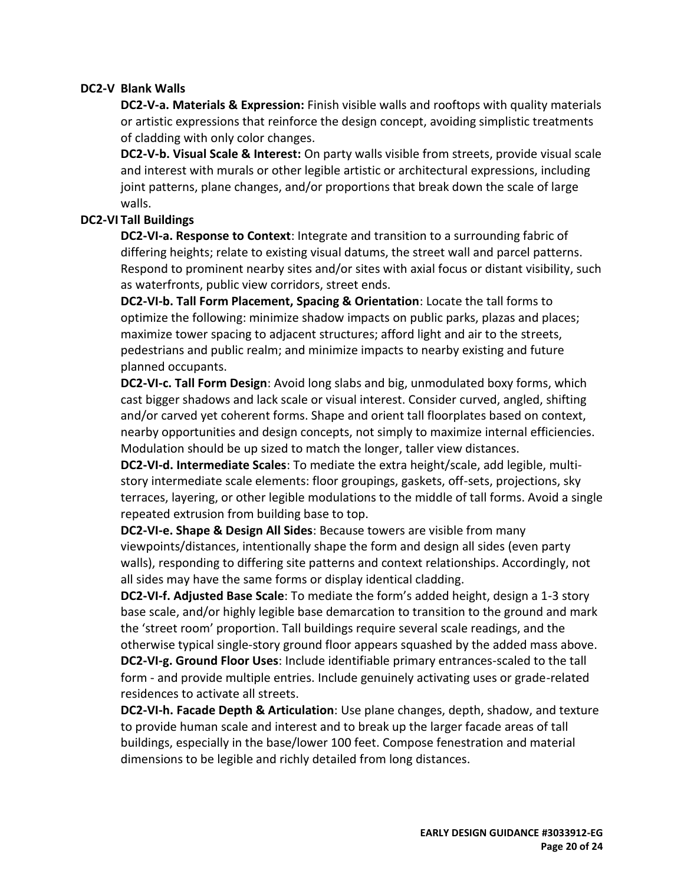### **DC2-V Blank Walls**

**DC2-V-a. Materials & Expression:** Finish visible walls and rooftops with quality materials or artistic expressions that reinforce the design concept, avoiding simplistic treatments of cladding with only color changes.

**DC2-V-b. Visual Scale & Interest:** On party walls visible from streets, provide visual scale and interest with murals or other legible artistic or architectural expressions, including joint patterns, plane changes, and/or proportions that break down the scale of large walls.

### **DC2-VI Tall Buildings**

**DC2-VI-a. Response to Context**: Integrate and transition to a surrounding fabric of differing heights; relate to existing visual datums, the street wall and parcel patterns. Respond to prominent nearby sites and/or sites with axial focus or distant visibility, such as waterfronts, public view corridors, street ends.

**DC2-VI-b. Tall Form Placement, Spacing & Orientation**: Locate the tall forms to optimize the following: minimize shadow impacts on public parks, plazas and places; maximize tower spacing to adjacent structures; afford light and air to the streets, pedestrians and public realm; and minimize impacts to nearby existing and future planned occupants.

**DC2-VI-c. Tall Form Design**: Avoid long slabs and big, unmodulated boxy forms, which cast bigger shadows and lack scale or visual interest. Consider curved, angled, shifting and/or carved yet coherent forms. Shape and orient tall floorplates based on context, nearby opportunities and design concepts, not simply to maximize internal efficiencies. Modulation should be up sized to match the longer, taller view distances.

**DC2-VI-d. Intermediate Scales**: To mediate the extra height/scale, add legible, multistory intermediate scale elements: floor groupings, gaskets, off-sets, projections, sky terraces, layering, or other legible modulations to the middle of tall forms. Avoid a single repeated extrusion from building base to top.

**DC2-VI-e. Shape & Design All Sides**: Because towers are visible from many viewpoints/distances, intentionally shape the form and design all sides (even party walls), responding to differing site patterns and context relationships. Accordingly, not all sides may have the same forms or display identical cladding.

**DC2-VI-f. Adjusted Base Scale**: To mediate the form's added height, design a 1-3 story base scale, and/or highly legible base demarcation to transition to the ground and mark the 'street room' proportion. Tall buildings require several scale readings, and the otherwise typical single-story ground floor appears squashed by the added mass above. **DC2-VI-g. Ground Floor Uses**: Include identifiable primary entrances-scaled to the tall form - and provide multiple entries. Include genuinely activating uses or grade-related residences to activate all streets.

**DC2-VI-h. Facade Depth & Articulation**: Use plane changes, depth, shadow, and texture to provide human scale and interest and to break up the larger facade areas of tall buildings, especially in the base/lower 100 feet. Compose fenestration and material dimensions to be legible and richly detailed from long distances.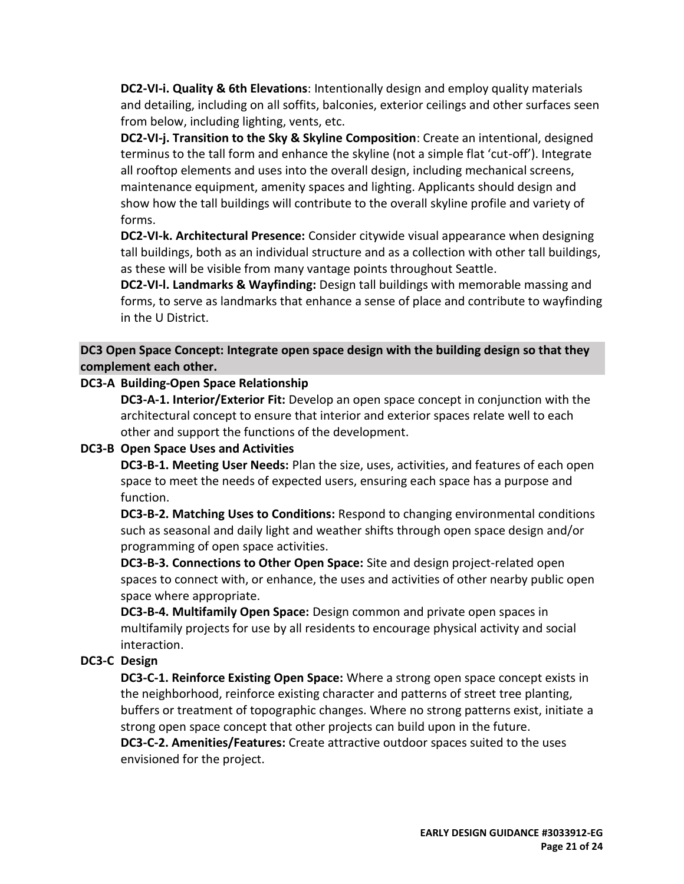**DC2-VI-i. Quality & 6th Elevations**: Intentionally design and employ quality materials and detailing, including on all soffits, balconies, exterior ceilings and other surfaces seen from below, including lighting, vents, etc.

**DC2-VI-j. Transition to the Sky & Skyline Composition**: Create an intentional, designed terminus to the tall form and enhance the skyline (not a simple flat 'cut-off'). Integrate all rooftop elements and uses into the overall design, including mechanical screens, maintenance equipment, amenity spaces and lighting. Applicants should design and show how the tall buildings will contribute to the overall skyline profile and variety of forms.

**DC2-VI-k. Architectural Presence:** Consider citywide visual appearance when designing tall buildings, both as an individual structure and as a collection with other tall buildings, as these will be visible from many vantage points throughout Seattle.

**DC2-VI-l. Landmarks & Wayfinding:** Design tall buildings with memorable massing and forms, to serve as landmarks that enhance a sense of place and contribute to wayfinding in the U District.

**DC3 Open Space Concept: Integrate open space design with the building design so that they complement each other.**

### **DC3-A Building-Open Space Relationship**

**DC3-A-1. Interior/Exterior Fit:** Develop an open space concept in conjunction with the architectural concept to ensure that interior and exterior spaces relate well to each other and support the functions of the development.

### **DC3-B Open Space Uses and Activities**

**DC3-B-1. Meeting User Needs:** Plan the size, uses, activities, and features of each open space to meet the needs of expected users, ensuring each space has a purpose and function.

**DC3-B-2. Matching Uses to Conditions:** Respond to changing environmental conditions such as seasonal and daily light and weather shifts through open space design and/or programming of open space activities.

**DC3-B-3. Connections to Other Open Space:** Site and design project-related open spaces to connect with, or enhance, the uses and activities of other nearby public open space where appropriate.

**DC3-B-4. Multifamily Open Space:** Design common and private open spaces in multifamily projects for use by all residents to encourage physical activity and social interaction.

## **DC3-C Design**

**DC3-C-1. Reinforce Existing Open Space:** Where a strong open space concept exists in the neighborhood, reinforce existing character and patterns of street tree planting, buffers or treatment of topographic changes. Where no strong patterns exist, initiate a strong open space concept that other projects can build upon in the future.

**DC3-C-2. Amenities/Features:** Create attractive outdoor spaces suited to the uses envisioned for the project.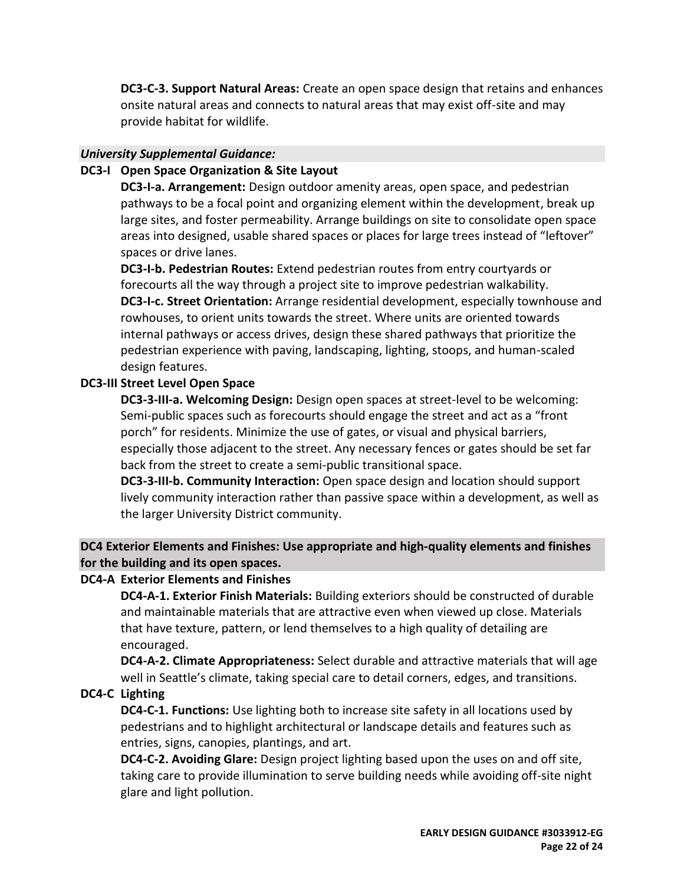**DC3-C-3. Support Natural Areas:** Create an open space design that retains and enhances onsite natural areas and connects to natural areas that may exist off-site and may provide habitat for wildlife.

### *University Supplemental Guidance:*

### **DC3-I Open Space Organization & Site Layout**

**DC3-I-a. Arrangement:** Design outdoor amenity areas, open space, and pedestrian pathways to be a focal point and organizing element within the development, break up large sites, and foster permeability. Arrange buildings on site to consolidate open space areas into designed, usable shared spaces or places for large trees instead of "leftover" spaces or drive lanes.

**DC3-I-b. Pedestrian Routes:** Extend pedestrian routes from entry courtyards or forecourts all the way through a project site to improve pedestrian walkability. **DC3-I-c. Street Orientation:** Arrange residential development, especially townhouse and rowhouses, to orient units towards the street. Where units are oriented towards internal pathways or access drives, design these shared pathways that prioritize the pedestrian experience with paving, landscaping, lighting, stoops, and human-scaled design features.

### **DC3-III Street Level Open Space**

**DC3-3-III-a. Welcoming Design:** Design open spaces at street-level to be welcoming: Semi-public spaces such as forecourts should engage the street and act as a "front porch" for residents. Minimize the use of gates, or visual and physical barriers, especially those adjacent to the street. Any necessary fences or gates should be set far back from the street to create a semi-public transitional space.

**DC3-3-III-b. Community Interaction:** Open space design and location should support lively community interaction rather than passive space within a development, as well as the larger University District community.

**DC4 Exterior Elements and Finishes: Use appropriate and high-quality elements and finishes for the building and its open spaces.**

## **DC4-A Exterior Elements and Finishes**

**DC4-A-1. Exterior Finish Materials:** Building exteriors should be constructed of durable and maintainable materials that are attractive even when viewed up close. Materials that have texture, pattern, or lend themselves to a high quality of detailing are encouraged.

**DC4-A-2. Climate Appropriateness:** Select durable and attractive materials that will age well in Seattle's climate, taking special care to detail corners, edges, and transitions.

# **DC4-C Lighting**

**DC4-C-1. Functions:** Use lighting both to increase site safety in all locations used by pedestrians and to highlight architectural or landscape details and features such as entries, signs, canopies, plantings, and art.

**DC4-C-2. Avoiding Glare:** Design project lighting based upon the uses on and off site, taking care to provide illumination to serve building needs while avoiding off-site night glare and light pollution.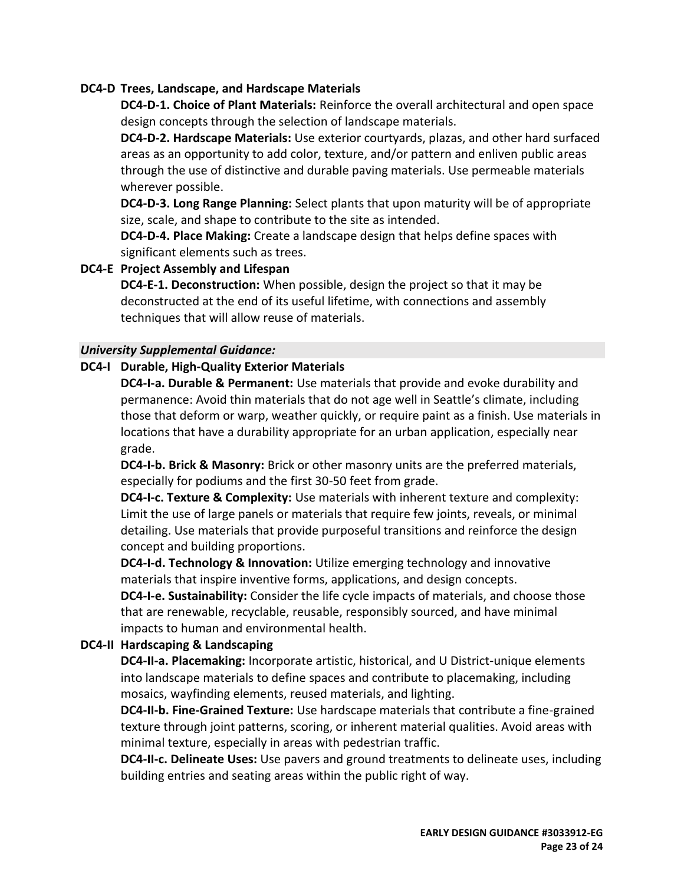### **DC4-D Trees, Landscape, and Hardscape Materials**

**DC4-D-1. Choice of Plant Materials:** Reinforce the overall architectural and open space design concepts through the selection of landscape materials.

**DC4-D-2. Hardscape Materials:** Use exterior courtyards, plazas, and other hard surfaced areas as an opportunity to add color, texture, and/or pattern and enliven public areas through the use of distinctive and durable paving materials. Use permeable materials wherever possible.

**DC4-D-3. Long Range Planning:** Select plants that upon maturity will be of appropriate size, scale, and shape to contribute to the site as intended.

**DC4-D-4. Place Making:** Create a landscape design that helps define spaces with significant elements such as trees.

#### **DC4-E Project Assembly and Lifespan**

**DC4-E-1. Deconstruction:** When possible, design the project so that it may be deconstructed at the end of its useful lifetime, with connections and assembly techniques that will allow reuse of materials.

#### *University Supplemental Guidance:*

#### **DC4-I Durable, High-Quality Exterior Materials**

**DC4-I-a. Durable & Permanent:** Use materials that provide and evoke durability and permanence: Avoid thin materials that do not age well in Seattle's climate, including those that deform or warp, weather quickly, or require paint as a finish. Use materials in locations that have a durability appropriate for an urban application, especially near grade.

**DC4-I-b. Brick & Masonry:** Brick or other masonry units are the preferred materials, especially for podiums and the first 30-50 feet from grade.

**DC4-I-c. Texture & Complexity:** Use materials with inherent texture and complexity: Limit the use of large panels or materials that require few joints, reveals, or minimal detailing. Use materials that provide purposeful transitions and reinforce the design concept and building proportions.

**DC4-I-d. Technology & Innovation:** Utilize emerging technology and innovative materials that inspire inventive forms, applications, and design concepts.

**DC4-I-e. Sustainability:** Consider the life cycle impacts of materials, and choose those that are renewable, recyclable, reusable, responsibly sourced, and have minimal impacts to human and environmental health.

#### **DC4-II Hardscaping & Landscaping**

**DC4-II-a. Placemaking:** Incorporate artistic, historical, and U District-unique elements into landscape materials to define spaces and contribute to placemaking, including mosaics, wayfinding elements, reused materials, and lighting.

**DC4-II-b. Fine-Grained Texture:** Use hardscape materials that contribute a fine-grained texture through joint patterns, scoring, or inherent material qualities. Avoid areas with minimal texture, especially in areas with pedestrian traffic.

**DC4-II-c. Delineate Uses:** Use pavers and ground treatments to delineate uses, including building entries and seating areas within the public right of way.